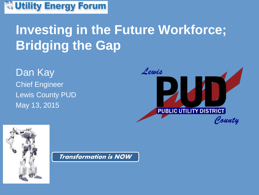

# **Investing in the Future Workforce; Bridging the Gap**

Dan Kay Chief Engineer Lewis County PUD May 13, 2015



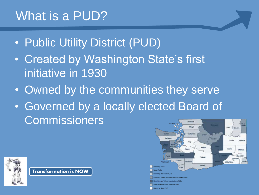### What is a PUD?

- Public Utility District (PUD)
- Created by Washington State's first initiative in 1930
- Owned by the communities they serve
- Governed by a locally elected Board of Commissioners



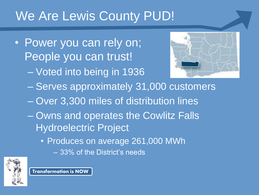## We Are Lewis County PUD!

- Power you can rely on; People you can trust!
	- Voted into being in 1936



- Serves approximately 31,000 customers
- Over 3,300 miles of distribution lines
- Owns and operates the Cowlitz Falls Hydroelectric Project
	- Produces on average 261,000 MWh
		- 33% of the District's needs

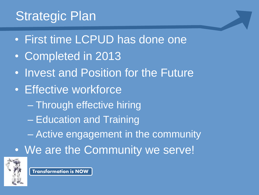## Strategic Plan

- First time LCPUD has done one
- Completed in 2013
- Invest and Position for the Future
- Effective workforce
	- Through effective hiring
	- Education and Training
	- Active engagement in the community
- We are the Community we serve!

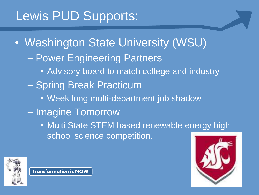## Lewis PUD Supports:

- Washington State University (WSU) – Power Engineering Partners
	- Advisory board to match college and industry
	- Spring Break Practicum
		- Week long multi-department job shadow
	- Imagine Tomorrow
		- Multi State STEM based renewable energy high school science competition.



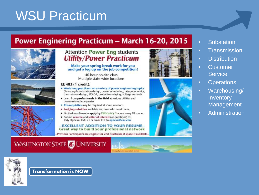### WSU Practicum

### **Power Enginering Practicum - March 16-20, 2015**





#### **Attention Power Eng students Utility/Power Practicum**

### Make your spring break work for you<br>and get a leg up on the job competition!

40 hour on-site class Multiple state-wide locations

#### EE 483 (1 credit):

- . Week long practicum on a variety of power engineering topics (for example: substation design, power scheduling, rates/economics, transmission design, SCADA, protective relaying, voltage control)
- . Learn from professionals in the field at various utilities and power-related companies
- · Pre-requisites may be required at some locations
- . Lodging subsidies available for those who need them
- . Limited enrollment apply by February 1 seats may fill sooner
- . Submit resume and letter of interest (or questions) to: Jody Opheim, EME 21 or email PDF to opheim@wsu.edu

#### -EXCELLENT ADDITION TO YOUR RESUME-Great way to build your professional network

Previous Participants are eligible for 2nd practicum if space is available-





- Substation
- Transmission
- Distribution
- Customer **Service**
- Operations
- Warehousing/ **Inventory** Management
- Administration



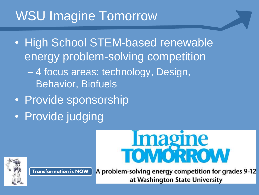## WSU Imagine Tomorrow

- High School STEM-based renewable energy problem-solving competition
	- 4 focus areas: technology, Design, Behavior, Biofuels
- Provide sponsorship
- Provide judging

# **Imagine TOMORROM/**



Transformation is NOW

A problem-solving energy competition for grades 9-12 at Washington State University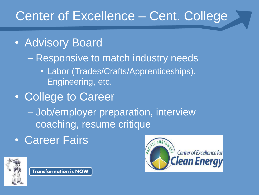### Center of Excellence – Cent. College





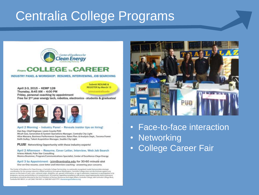### Centralia College Programs



#### From COLLEGE <sub>10</sub> CAREER

INDUSTRY PANEL & WORKSHOP: RESUMES, INTERVIEWING, JOB SEARCHING

**Submit RESUME & REGISTER by March 13** April 2-3, 2015 - KEMP 128 Thursday, 8:45 AM - 4:00 PM ivim@centralia.edu Friday, personal coaching by appointment Free for 2<sup>nd</sup> year energy tech, robotics, electronics - students & graduates!



April 2 Morning - Industry Panel - Reveals insider tips on hiring!

Dan Kay, Chief Engineer, Lewis County PUD Micah Goo, Generation & System Operations Manager, Centralia City Light Alice Massara, Business Performance Supervisor, Rates Plan. & Analysis Dept., Tacoma Power Keith Gulley, Talent Acquisition Manager, Seattle City Light

**PLUS!** Networking Opportunity with these industry experts!

April 2 Afternoon - Resume, Cover Letter, Interview, Web Job Search Arlene Abbott, Polar Star Consulting

Monica Brummer, Program/Communications Specialist, Center of Excellence-Clean Energy

April 3 by Appointment - jyim@centralia.edu for 30-60 minute slot One-on-One resume, cover letter and interview coaching - answering your concerns

The Center of Escolance for Clean Energy, a Centralia College Pertnership, is a nationally recognized model that provides strategic<br>coordination for the energy industry's ekiled workdore throughout Weshington. Centralia Co procedures should be directed to the Vice President of Human Resources and Logal Affairs, Centralia College, 600 Centralia College Blvd., Centrals WA 98531, or call (360) 736-9391 or (360) 867-6227/TTV. clear energy excellence.org



- Face-to-face interaction
- **Networking**
- College Career Fair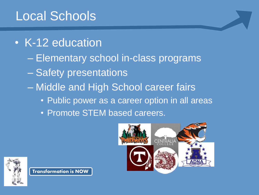### Local Schools

### • K-12 education

- Elementary school in-class programs
- Safety presentations
- Middle and High School career fairs
	- Public power as a career option in all areas
	- Promote STEM based careers.



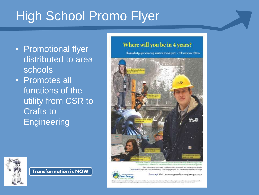## High School Promo Flyer

- Promotional flyer distributed to area schools
- Promotes all functions of the utility from CSR to Crafts to **Engineering**

#### Where will you be in 4 years?

Thousands of people work every minute to provide power - YOU can be one of them.





These jobs require good math, problem solving, teamwork and communication skills. Get Started! Study hard. Entrol in an Energy Technology program at a community or technical college.

Power up! Visit deanenergyexcellence.org/energycareers



ien. 1984; national religio, mitglein. mis Australian insecrativ-ducha<br>piloter Deyran Ramaton Damner tie Haunan Thematon 1906 Coa

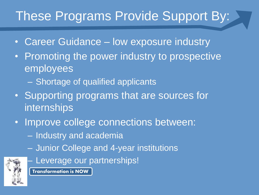### These Programs Provide Support By:

- Career Guidance low exposure industry
- Promoting the power industry to prospective employees
	- Shortage of qualified applicants
- Supporting programs that are sources for internships
- Improve college connections between:
	- Industry and academia
	- Junior College and 4-year institutions



Leverage our partnerships!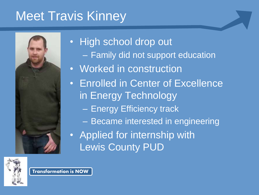### Meet Travis Kinney



• High school drop out

- Family did not support education
- Worked in construction
- Enrolled in Center of Excellence in Energy Technology
	- Energy Efficiency track
	- Became interested in engineering
- Applied for internship with Lewis County PUD

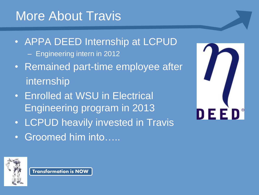## More About Travis

- APPA DEED Internship at LCPUD – Engineering intern in 2012
- Remained part-time employee after internship
- Enrolled at WSU in Electrical Engineering program in 2013
- LCPUD heavily invested in Travis
- Groomed him into…..



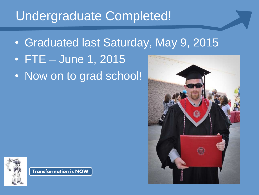### Undergraduate Completed!

- Graduated last Saturday, May 9, 2015 • FTE – June 1, 2015
- Now on to grad school!



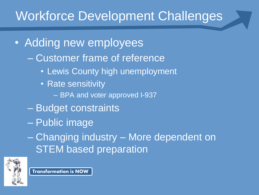### Workforce Development Challenges

- Adding new employees – Customer frame of reference
	- Lewis County high unemployment
	- Rate sensitivity
		- BPA and voter approved I-937
	- Budget constraints
	- Public image
	- Changing industry More dependent on STEM based preparation

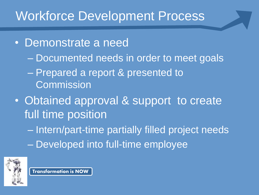### Workforce Development Process

- Demonstrate a need
	- Documented needs in order to meet goals
	- Prepared a report & presented to **Commission**
- Obtained approval & support to create full time position
	- Intern/part-time partially filled project needs
	- Developed into full-time employee

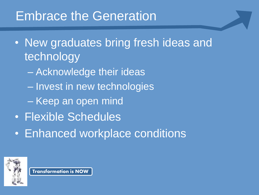### Embrace the Generation

- New graduates bring fresh ideas and technology
	- Acknowledge their ideas
	- Invest in new technologies
	- Keep an open mind
- Flexible Schedules
- Enhanced workplace conditions

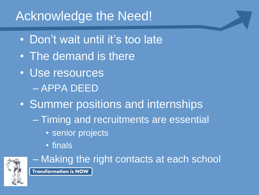### Acknowledge the Need!

- Don't wait until it's too late
- The demand is there
- Use resources – APPA DEED
- Summer positions and internships
	- Timing and recruitments are essential
		- senior projects
		- finals



Transformation is NOW – Making the right contacts at each school